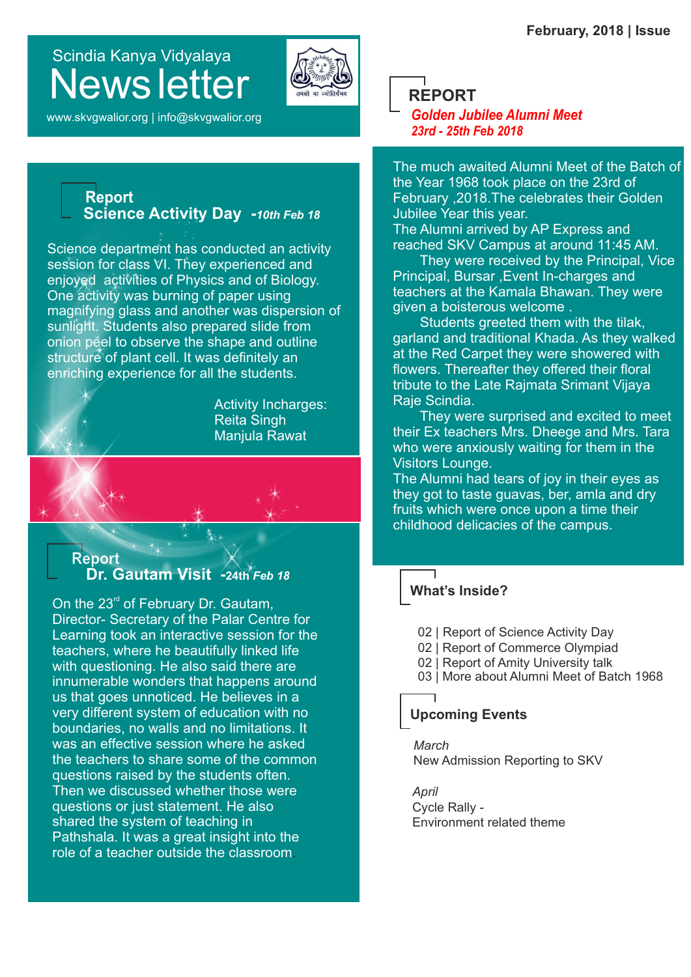# Scindia Kanya Vidyalaya News letter



www.skvgwalior.org | info@skvgwalior.org

### **Report Science Activity Day -***10th Feb 18*

Science department has conducted an activity session for class VI. They experienced and enjoyed activities of Physics and of Biology. One activity was burning of paper using magnifying glass and another was dispersion of sunlight. Students also prepared slide from onion peel to observe the shape and outline structure of plant cell. It was definitely an enriching experience for all the students.

> Activity Incharges: Reita Singh Manjula Rawat

### **Report Dr. Gautam Visit -24th** *Feb 18*

On the  $23<sup>rd</sup>$  of February Dr. Gautam, Director- Secretary of the Palar Centre for Learning took an interactive session for the teachers, where he beautifully linked life with questioning. He also said there are innumerable wonders that happens around us that goes unnoticed. He believes in a very different system of education with no boundaries, no walls and no limitations. It was an effective session where he asked the teachers to share some of the common questions raised by the students often. Then we discussed whether those were questions or just statement. He also shared the system of teaching in Pathshala. It was a great insight into the role of a teacher outside the classroom.

**REPORT**

*Golden Jubilee Alumni Meet 23rd - 25th Feb 2018*

The much awaited Alumni Meet of the Batch of the Year 1968 took place on the 23rd of February ,2018.The celebrates their Golden Jubilee Year this year.

The Alumni arrived by AP Express and reached SKV Campus at around 11:45 AM.

 They were received by the Principal, Vice Principal, Bursar ,Event In-charges and teachers at the Kamala Bhawan. They were given a boisterous welcome .

 Students greeted them with the tilak, garland and traditional Khada. As they walked at the Red Carpet they were showered with flowers. Thereafter they offered their floral tribute to the Late Rajmata Srimant Vijaya Raje Scindia.

 They were surprised and excited to meet their Ex teachers Mrs. Dheege and Mrs. Tara who were anxiously waiting for them in the Visitors Lounge.

The Alumni had tears of joy in their eyes as they got to taste guavas, ber, amla and dry fruits which were once upon a time their childhood delicacies of the campus.

# **What's Inside?**

- 02 | Report of Science Activity Day
- 02 | Report of Commerce Olympiad
- 02 | Report of Amity University talk
- 03 | More about Alumni Meet of Batch 1968

## **Upcoming Events**

*March* New Admission Reporting to SKV

*April* Cycle Rally - Environment related theme